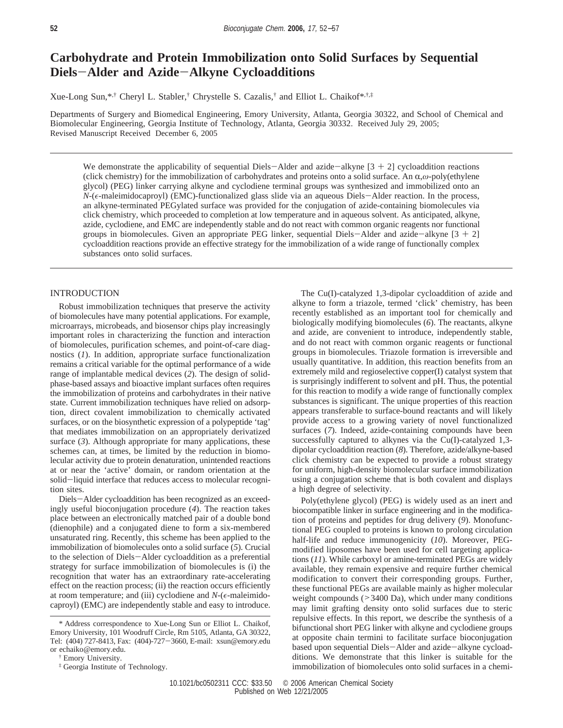# **Carbohydrate and Protein Immobilization onto Solid Surfaces by Sequential Diels**-**Alder and Azide**-**Alkyne Cycloadditions**

Xue-Long Sun,\*,† Cheryl L. Stabler,† Chrystelle S. Cazalis,† and Elliot L. Chaikof\*,†,‡

Departments of Surgery and Biomedical Engineering, Emory University, Atlanta, Georgia 30322, and School of Chemical and Biomolecular Engineering, Georgia Institute of Technology, Atlanta, Georgia 30332. Received July 29, 2005; Revised Manuscript Received December 6, 2005

We demonstrate the applicability of sequential Diels-Alder and azide-alkyne  $[3 + 2]$  cycloaddition reactions (click chemistry) for the immobilization of carbohydrates and proteins onto a solid surface. An R,*ω*-poly(ethylene glycol) (PEG) linker carrying alkyne and cyclodiene terminal groups was synthesized and immobilized onto an *N*-( $\epsilon$ -maleimidocaproyl) (EMC)-functionalized glass slide via an aqueous Diels-Alder reaction. In the process, an alkyne-terminated PEGylated surface was provided for the conjugation of azide-containing biomolecules via click chemistry, which proceeded to completion at low temperature and in aqueous solvent. As anticipated, alkyne, azide, cyclodiene, and EMC are independently stable and do not react with common organic reagents nor functional groups in biomolecules. Given an appropriate PEG linker, sequential Diels-Alder and azide-alkyne  $[3 + 2]$ cycloaddition reactions provide an effective strategy for the immobilization of a wide range of functionally complex substances onto solid surfaces.

## INTRODUCTION

Robust immobilization techniques that preserve the activity of biomolecules have many potential applications. For example, microarrays, microbeads, and biosensor chips play increasingly important roles in characterizing the function and interaction of biomolecules, purification schemes, and point-of-care diagnostics (*1*). In addition, appropriate surface functionalization remains a critical variable for the optimal performance of a wide range of implantable medical devices (*2*). The design of solidphase-based assays and bioactive implant surfaces often requires the immobilization of proteins and carbohydrates in their native state. Current immobilization techniques have relied on adsorption, direct covalent immobilization to chemically activated surfaces, or on the biosynthetic expression of a polypeptide 'tag' that mediates immobilization on an appropriately derivatized surface (*3*). Although appropriate for many applications, these schemes can, at times, be limited by the reduction in biomolecular activity due to protein denaturation, unintended reactions at or near the 'active' domain, or random orientation at the solid-liquid interface that reduces access to molecular recognition sites.

Diels-Alder cycloaddition has been recognized as an exceedingly useful bioconjugation procedure (*4*). The reaction takes place between an electronically matched pair of a double bond (dienophile) and a conjugated diene to form a six-membered unsaturated ring. Recently, this scheme has been applied to the immobilization of biomolecules onto a solid surface (*5*). Crucial to the selection of Diels-Alder cycloaddition as a preferential strategy for surface immobilization of biomolecules is (i) the recognition that water has an extraordinary rate-accelerating effect on the reaction process; (ii) the reaction occurs efficiently at room temperature; and (iii) cyclodiene and  $N-(\epsilon$ -maleimidocaproyl) (EMC) are independently stable and easy to introduce.

The Cu(I)-catalyzed 1,3-dipolar cycloaddition of azide and alkyne to form a triazole, termed 'click' chemistry, has been recently established as an important tool for chemically and biologically modifying biomolecules (*6*). The reactants, alkyne and azide, are convenient to introduce, independently stable, and do not react with common organic reagents or functional groups in biomolecules. Triazole formation is irreversible and usually quantitative. In addition, this reaction benefits from an extremely mild and regioselective copper(I) catalyst system that is surprisingly indifferent to solvent and pH. Thus, the potential for this reaction to modify a wide range of functionally complex substances is significant. The unique properties of this reaction appears transferable to surface-bound reactants and will likely provide access to a growing variety of novel functionalized surfaces (*7*). Indeed, azide-containing compounds have been successfully captured to alkynes via the Cu(I)-catalyzed 1,3dipolar cycloaddition reaction (*8*). Therefore, azide/alkyne-based click chemistry can be expected to provide a robust strategy for uniform, high-density biomolecular surface immobilization using a conjugation scheme that is both covalent and displays a high degree of selectivity.

Poly(ethylene glycol) (PEG) is widely used as an inert and biocompatible linker in surface engineering and in the modification of proteins and peptides for drug delivery (*9*). Monofunctional PEG coupled to proteins is known to prolong circulation half-life and reduce immunogenicity (*10*). Moreover, PEGmodified liposomes have been used for cell targeting applications (*11*). While carboxyl or amine-terminated PEGs are widely available, they remain expensive and require further chemical modification to convert their corresponding groups. Further, these functional PEGs are available mainly as higher molecular weight compounds  $($ >3400 Da), which under many conditions may limit grafting density onto solid surfaces due to steric repulsive effects. In this report, we describe the synthesis of a bifunctional short PEG linker with alkyne and cyclodiene groups at opposite chain termini to facilitate surface bioconjugation based upon sequential Diels-Alder and azide-alkyne cycloadditions. We demonstrate that this linker is suitable for the immobilization of biomolecules onto solid surfaces in a chemi-

<sup>\*</sup> Address correspondence to Xue-Long Sun or Elliot L. Chaikof, Emory University, 101 Woodruff Circle, Rm 5105, Atlanta, GA 30322, Tel: (404) 727-8413, Fax: (404)-727-3660, E-mail: xsun@emory.edu or echaiko@emory.edu.

<sup>†</sup> Emory University.

<sup>‡</sup> Georgia Institute of Technology.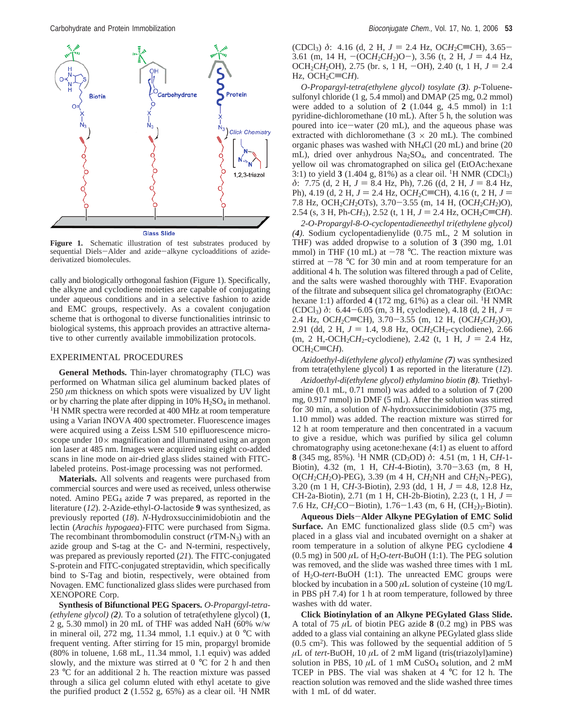

**Figure 1.** Schematic illustration of test substrates produced by sequential Diels-Alder and azide-alkyne cycloadditions of azidederivatized biomolecules.

cally and biologically orthogonal fashion (Figure 1). Specifically, the alkyne and cyclodiene moieties are capable of conjugating under aqueous conditions and in a selective fashion to azide and EMC groups, respectively. As a covalent conjugation scheme that is orthogonal to diverse functionalities intrinsic to biological systems, this approach provides an attractive alternative to other currently available immobilization protocols.

## EXPERIMENTAL PROCEDURES

**General Methods.** Thin-layer chromatography (TLC) was performed on Whatman silica gel aluminum backed plates of 250 *µ*m thickness on which spots were visualized by UV light or by charring the plate after dipping in  $10\%$   $H_2SO_4$  in methanol. <sup>1</sup>H NMR spectra were recorded at 400 MHz at room temperature using a Varian INOVA 400 spectrometer. Fluorescence images were acquired using a Zeiss LSM 510 epifluorescence microscope under  $10\times$  magnification and illuminated using an argon ion laser at 485 nm. Images were acquired using eight co-added scans in line mode on air-dried glass slides stained with FITClabeled proteins. Post-image processing was not performed.

**Materials.** All solvents and reagents were purchased from commercial sources and were used as received, unless otherwise noted. Amino PEG4 azide **7** was prepared, as reported in the literature (*12*). 2-Azide-ethyl-*O*-lactoside **9** was synthesized, as previously reported (*18*). *N*-Hydroxsuccinimidobiotin and the lectin (*Arachis hypogaea*)-FITC were purchased from Sigma. The recombinant thrombomodulin construct (*r*TM-N3) with an azide group and S-tag at the C- and N-termini, respectively, was prepared as previously reported (*21*). The FITC-conjugated S-protein and FITC-conjugated streptavidin, which specifically bind to S-Tag and biotin, respectively, were obtained from Novagen. EMC functionalized glass slides were purchased from XENOPORE Corp.

**Synthesis of Bifunctional PEG Spacers.** *O-Propargyl-tetra- (ethylene glycol) (2).* To a solution of tetra(ethylene glycol) (**1**, 2 g, 5.30 mmol) in 20 mL of THF was added NaH (60% w/w in mineral oil, 272 mg, 11.34 mmol, 1.1 equiv.) at 0 °C with frequent venting. After stirring for 15 min, propargyl bromide (80% in toluene, 1.68 mL, 11.34 mmol, 1.1 equiv) was added slowly, and the mixture was stirred at  $0^{\circ}$ C for 2 h and then 23 °C for an additional 2 h. The reaction mixture was passed through a silica gel column eluted with ethyl acetate to give the purified product  $2(1.552 \text{ g}, 65\%)$  as a clear oil. <sup>1</sup>H NMR

(CDCl<sub>3</sub>)  $\delta$ : 4.16 (d, 2 H,  $J = 2.4$  Hz, OCH<sub>2</sub>C=CH), 3.65-3.61 (m, 14 H,  $-(OCH_2CH_2)O$ ), 3.56 (t, 2 H,  $J = 4.4$  Hz, OCH<sub>2</sub>CH<sub>2</sub>OH), 2.75 (br. s, 1 H,  $-\text{OH}$ ), 2.40 (t, 1 H,  $J = 2.4$ Hz,  $OCH_2C\equiv CH$ ).

*O-Propargyl-tetra(ethylene glycol) tosylate (3). p*-Toluenesulfonyl chloride (1 g, 5.4 mmol) and DMAP (25 mg, 0.2 mmol) were added to a solution of **2** (1.044 g, 4.5 mmol) in 1:1 pyridine-dichloromethane (10 mL). After 5 h, the solution was poured into ice-water (20 mL), and the aqueous phase was extracted with dichloromethane ( $3 \times 20$  mL). The combined organic phases was washed with NH4Cl (20 mL) and brine (20 mL), dried over anhydrous  $Na<sub>2</sub>SO<sub>4</sub>$ , and concentrated. The yellow oil was chromatographed on silica gel (EtOAc:hexane 3:1) to yield  $3(1.404 \text{ g}, 81\%)$  as a clear oil. <sup>1</sup>H NMR (CDCl<sub>3</sub>) *δ*: 7.75 (d, 2 H, *J* = 8.4 Hz, Ph), 7.26 ((d, 2 H, *J* = 8.4 Hz, Ph), 4.19 (d, 2 H,  $J = 2.4$  Hz, OCH<sub>2</sub>C=CH), 4.16 (t, 2 H,  $J =$ 7.8 Hz, OCH2C*H*2OTs), 3.70-3.55 (m, 14 H, (OC*H*2C*H*2)O), 2.54 (s, 3 H, Ph-CH<sub>3</sub>), 2.52 (t, 1 H,  $J = 2.4$  Hz, OCH<sub>2</sub>C=CH).

*2-O-Propargyl-8-O-cyclopentadieneethyl tri(ethylene glycol) (4).* Sodium cyclopentadienylide (0.75 mL, 2 M solution in THF) was added dropwise to a solution of **3** (390 mg, 1.01 mmol) in THF (10 mL) at  $-78$  °C. The reaction mixture was stirred at  $-78$  °C for 30 min and at room temperature for an additional 4 h. The solution was filtered through a pad of Celite, and the salts were washed thoroughly with THF. Evaporation of the filtrate and subsequent silica gel chromatography (EtOAc: hexane 1:1) afforded  $4(172 \text{ mg}, 61\%)$  as a clear oil. <sup>1</sup>H NMR (CDCl<sub>3</sub>)  $\delta$ : 6.44–6.05 (m, 3 H, cyclodiene), 4.18 (d, 2 H,  $J =$ 2.4 Hz, OCH<sub>2</sub>C=CH), 3.70-3.55 (m, 12 H, (OCH<sub>2</sub>CH<sub>2</sub>)O), 2.91 (dd, 2 H,  $J = 1.4$ , 9.8 Hz, OCH<sub>2</sub>CH<sub>2</sub>-cyclodiene), 2.66  $(m, 2 H, -OCH_2CH_2$ -cyclodiene), 2.42 (t, 1 H,  $J = 2.4$  Hz,  $OCH_2C=CH$ ).

*Azidoethyl-di(ethylene glycol) ethylamine (7)* was synthesized from tetra(ethylene glycol) **1** as reported in the literature (*12*).

*Azidoethyl-di(ethylene glycol) ethylamino biotin (8).* Triethylamine (0.1 mL, 0.71 mmol) was added to a solution of **7** (200 mg, 0.917 mmol) in DMF (5 mL). After the solution was stirred for 30 min, a solution of *N*-hydroxsuccinimidobiotin (375 mg, 1.10 mmol) was added. The reaction mixture was stirred for 12 h at room temperature and then concentrated in a vacuum to give a residue, which was purified by silica gel column chromatography using acetone:hexane (4:1) as eluent to afford **8** (345 mg, 85%). 1H NMR (CD3OD) *δ*: 4.51 (m, 1 H, C*H*-1- Biotin), 4.32 (m, 1 H, C*H*-4-Biotin), 3.70-3.63 (m, 8 H,  $O(CH_2CH_2O)$ -PEG), 3.39 (m 4 H,  $CH_2NH$  and  $CH_2N_3$ -PEG), 3.20 (m 1 H, CH-3-Biotin), 2.93 (dd, 1 H,  $J = 4.8$ , 12.8 Hz, CH-2a-Biotin), 2.71 (m 1 H, CH-2b-Biotin), 2.23 (t, 1 H, *<sup>J</sup>* ) 7.6 Hz, CH<sub>2</sub>CO-Biotin), 1.76–1.43 (m, 6 H, (CH<sub>2</sub>)<sub>3</sub>-Biotin).

**Aqueous Diels**-**Alder Alkyne PEGylation of EMC Solid Surface.** An EMC functionalized glass slide  $(0.5 \text{ cm}^2)$  was placed in a glass vial and incubated overnight on a shaker at room temperature in a solution of alkyne PEG cyclodiene **4**  $(0.5 \text{ mg})$  in 500  $\mu$ L of H<sub>2</sub>O-*tert*-BuOH (1:1). The PEG solution was removed, and the slide was washed three times with 1 mL of H2O-*tert*-BuOH (1:1). The unreacted EMC groups were blocked by incubation in a 500  $\mu$ L solution of cysteine (10 mg/L) in PBS pH 7.4) for 1 h at room temperature, followed by three washes with dd water.

**Click Biotinylation of an Alkyne PEGylated Glass Slide.** A total of 75 *µ*L of biotin PEG azide **8** (0.2 mg) in PBS was added to a glass vial containing an alkyne PEGylated glass slide  $(0.5 \text{ cm}^2)$ . This was followed by the sequential addition of 5  $\mu$ L of *tert*-BuOH, 10  $\mu$ L of 2 mM ligand (tris(triazolyl)amine) solution in PBS,  $10 \mu L$  of 1 mM CuSO<sub>4</sub> solution, and 2 mM TCEP in PBS. The vial was shaken at 4 °C for 12 h. The reaction solution was removed and the slide washed three times with 1 mL of dd water.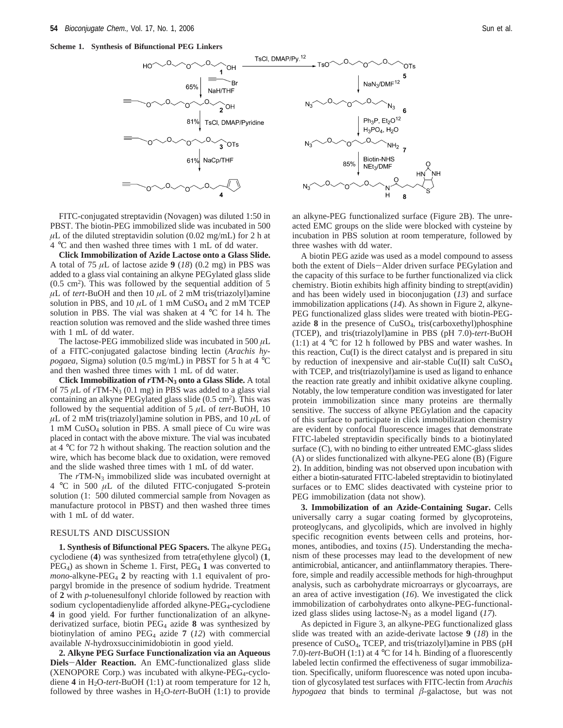**Scheme 1. Synthesis of Bifunctional PEG Linkers**



FITC-conjugated streptavidin (Novagen) was diluted 1:50 in PBST. The biotin-PEG immobilized slide was incubated in 500  $\mu$ L of the diluted streptavidin solution (0.02 mg/mL) for 2 h at 4 °C and then washed three times with 1 mL of dd water.

**Click Immobilization of Azide Lactose onto a Glass Slide.** A total of 75 *µ*L of lactose azide **9** (*18*) (0.2 mg) in PBS was added to a glass vial containing an alkyne PEGylated glass slide  $(0.5 \text{ cm}^2)$ . This was followed by the sequential addition of 5  $\mu$ L of *tert*-BuOH and then 10  $\mu$ L of 2 mM tris(triazolyl)amine solution in PBS, and  $10 \mu L$  of 1 mM CuSO<sub>4</sub> and 2 mM TCEP solution in PBS. The vial was shaken at 4 °C for 14 h. The reaction solution was removed and the slide washed three times with 1 mL of dd water.

The lactose-PEG immobilized slide was incubated in 500 *µ*L of a FITC-conjugated galactose binding lectin (*Arachis hypogaea*, Sigma) solution (0.5 mg/mL) in PBST for 5 h at 4 °C and then washed three times with 1 mL of dd water.

**Click Immobilization of** *r***TM-N3 onto a Glass Slide.** A total of 75  $\mu$ L of  $rTM-N_3$  (0.1 mg) in PBS was added to a glass vial containing an alkyne PEGylated glass slide  $(0.5 \text{ cm}^2)$ . This was followed by the sequential addition of  $5 \mu L$  of *tert*-BuOH, 10  $\mu$ L of 2 mM tris(triazolyl)amine solution in PBS, and 10  $\mu$ L of 1 mM CuSO4 solution in PBS. A small piece of Cu wire was placed in contact with the above mixture. The vial was incubated at 4 °C for 72 h without shaking. The reaction solution and the wire, which has become black due to oxidation, were removed and the slide washed three times with 1 mL of dd water.

The rTM-N<sub>3</sub> immobilized slide was incubated overnight at 4 °C in 500 *µ*L of the diluted FITC-conjugated S-protein solution (1: 500 diluted commercial sample from Novagen as manufacture protocol in PBST) and then washed three times with 1 mL of dd water.

#### RESULTS AND DISCUSSION

**1. Synthesis of Bifunctional PEG Spacers.** The alkyne PEG4 cyclodiene (**4**) was synthesized from tetra(ethylene glycol) (**1**,  $PEG<sub>4</sub>$ ) as shown in Scheme 1. First,  $PEG<sub>4</sub>$  1 was converted to *mono-alkyne-PEG<sub>4</sub>* 2 by reacting with 1.1 equivalent of propargyl bromide in the presence of sodium hydride. Treatment of **2** with *p*-toluenesulfonyl chloride followed by reaction with sodium cyclopentadienylide afforded alkyne-PEG<sub>4</sub>-cyclodiene **4** in good yield. For further functionalization of an alkynederivatized surface, biotin PEG4 azide **8** was synthesized by biotinylation of amino PEG4 azide **7** (*12*) with commercial available *N*-hydroxsuccinimidobiotin in good yield.

**2. Alkyne PEG Surface Functionalization via an Aqueous Diels**-**Alder Reaction.** An EMC-functionalized glass slide (XENOPORE Corp.) was incubated with alkyne-PEG4-cyclodiene  $4$  in H<sub>2</sub>O-*tert*-BuOH (1:1) at room temperature for 12 h, followed by three washes in  $H_2O$ -tert-BuOH (1:1) to provide



an alkyne-PEG functionalized surface (Figure 2B). The unreacted EMC groups on the slide were blocked with cysteine by incubation in PBS solution at room temperature, followed by three washes with dd water.

A biotin PEG azide was used as a model compound to assess both the extent of Diels-Alder driven surface PEGylation and the capacity of this surface to be further functionalized via click chemistry. Biotin exhibits high affinity binding to strept(avidin) and has been widely used in bioconjugation (*13*) and surface immobilization applications (*14*). As shown in Figure 2, alkyne-PEG functionalized glass slides were treated with biotin-PEGazide **8** in the presence of CuSO4, tris(carboxethyl)phosphine (TCEP), and tris(triazolyl)amine in PBS (pH 7.0)-*tert*-BuOH (1:1) at 4 °C for 12 h followed by PBS and water washes. In this reaction, Cu(I) is the direct catalyst and is prepared in situ by reduction of inexpensive and air-stable Cu(II) salt CuSO4 with TCEP, and tris(triazolyl)amine is used as ligand to enhance the reaction rate greatly and inhibit oxidative alkyne coupling. Notably, the low temperature condition was investigated for later protein immobilization since many proteins are thermally sensitive. The success of alkyne PEGylation and the capacity of this surface to participate in click immobilization chemistry are evident by confocal fluorescence images that demonstrate FITC-labeled streptavidin specifically binds to a biotinylated surface (C), with no binding to either untreated EMC-glass slides (A) or slides functionalized with alkyne-PEG alone (B) (Figure 2). In addition, binding was not observed upon incubation with either a biotin-saturated FITC-labeled streptavidin to biotinylated surfaces or to EMC slides deactivated with cysteine prior to PEG immobilization (data not show).

**3. Immobilization of an Azide-Containing Sugar.** Cells universally carry a sugar coating formed by glycoproteins, proteoglycans, and glycolipids, which are involved in highly specific recognition events between cells and proteins, hormones, antibodies, and toxins (*15*). Understanding the mechanism of these processes may lead to the development of new antimicrobial, anticancer, and antiinflammatory therapies. Therefore, simple and readily accessible methods for high-throughput analysis, such as carbohydrate microarrays or glycoarrays, are an area of active investigation (*16*). We investigated the click immobilization of carbohydrates onto alkyne-PEG-functionalized glass slides using lactose- $N_3$  as a model ligand (17).

As depicted in Figure 3, an alkyne-PEG functionalized glass slide was treated with an azide-derivate lactose **9** (*18*) in the presence of CuSO4, TCEP, and tris(triazolyl)amine in PBS (pH 7.0)-*tert*-BuOH (1:1) at 4 °C for 14 h. Binding of a fluorescently labeled lectin confirmed the effectiveness of sugar immobilization. Specifically, uniform fluorescence was noted upon incubation of glycosylated test surfaces with FITC-lectin from *Arachis hypogaea* that binds to terminal *â*-galactose, but was not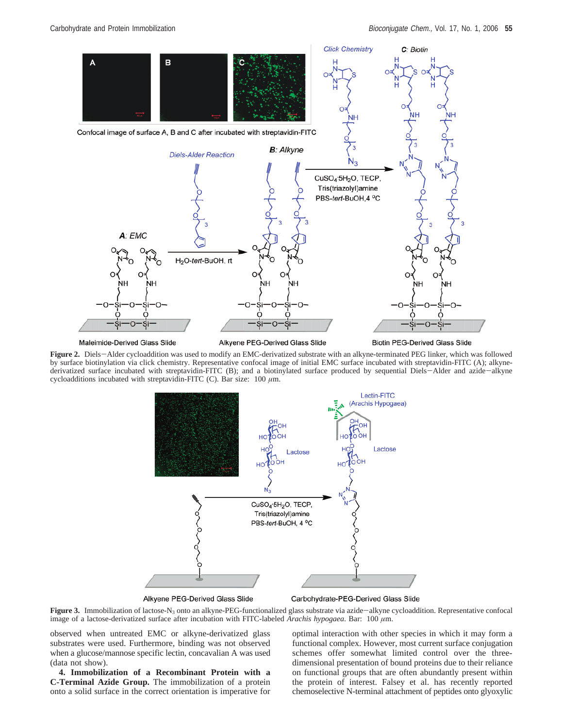

Maleimide-Derived Glass Slide

Alkyene PEG-Derived Glass Slide

**Biotin PEG-Derived Glass Slide** 

**Figure 2.** Diels-Alder cycloaddition was used to modify an EMC-derivatized substrate with an alkyne-terminated PEG linker, which was followed by surface biotinylation via click chemistry. Representative confocal image of initial EMC surface incubated with streptavidin-FITC (A); alkynederivatized surface incubated with streptavidin-FITC (B); and a biotinylated surface produced by sequential Diels-Alder and azide-alkyne cycloadditions incubated with streptavidin-FITC (C). Bar size:  $100 \mu m$ .



Alkyene PEG-Derived Glass Slide

Carbohydrate-PEG-Derived Glass Slide

**Figure 3.** Immobilization of lactose-N<sub>3</sub> onto an alkyne-PEG-functionalized glass substrate via azide-alkyne cycloaddition. Representative confocal image of a lactose-derivatized surface after incubation with FITC-labeled *Arachis hypogaea*. Bar: 100 *µ*m.

observed when untreated EMC or alkyne-derivatized glass substrates were used. Furthermore, binding was not observed when a glucose/mannose specific lectin, concavalian A was used (data not show).

**4. Immobilization of a Recombinant Protein with a C-Terminal Azide Group.** The immobilization of a protein onto a solid surface in the correct orientation is imperative for

optimal interaction with other species in which it may form a functional complex. However, most current surface conjugation schemes offer somewhat limited control over the threedimensional presentation of bound proteins due to their reliance on functional groups that are often abundantly present within the protein of interest. Falsey et al. has recently reported chemoselective N-terminal attachment of peptides onto glyoxylic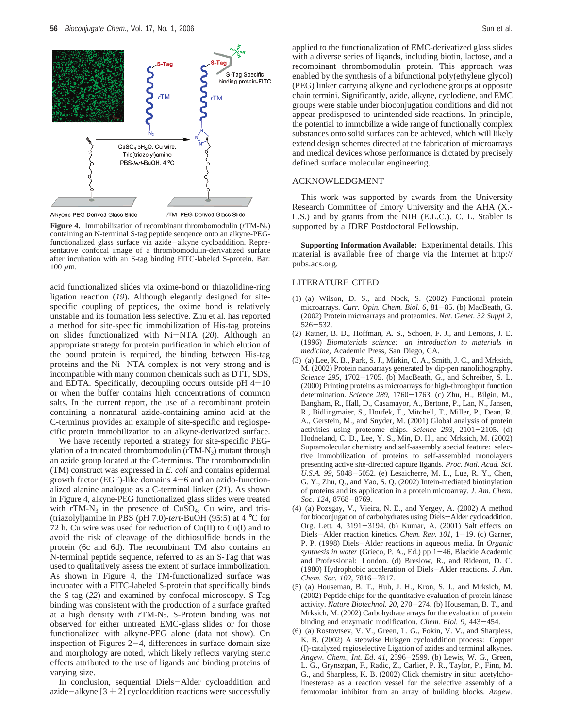

Alkyene PEG-Derived Glass Slide

rTM- PEG-Derived Glass Slide

**Figure 4.** Immobilization of recombinant thrombomodulin (*r*TM-N3) containing an N-terminal S-tag peptide seuqence onto an alkyne-PEGfunctionalized glass surface via azide-alkyne cycloaddition. Representative confocal image of a thrombomodulin-derivatized surface after incubation with an S-tag binding FITC-labeled S-protein. Bar:  $100 \mu m$ .

acid functionalized slides via oxime-bond or thiazolidine-ring ligation reaction (*19*). Although elegantly designed for sitespecific coupling of peptides, the oxime bond is relatively unstable and its formation less selective. Zhu et al. has reported a method for site-specific immobilization of His-tag proteins on slides functionalized with Ni-NTA (*20*). Although an appropriate strategy for protein purification in which elution of the bound protein is required, the binding between His-tag proteins and the Ni-NTA complex is not very strong and is incompatible with many common chemicals such as DTT, SDS, and EDTA. Specifically, decoupling occurs outside  $pH$  4-10 or when the buffer contains high concentrations of common salts. In the current report, the use of a recombinant protein containing a nonnatural azide-containing amino acid at the C-terminus provides an example of site-specific and regiospecific protein immobilization to an alkyne-derivatized surface.

We have recently reported a strategy for site-specific PEGylation of a truncated thrombomodulin (*r*TM-N3) mutant through an azide group located at the C-terminus. The thrombomodulin (TM) construct was expressed in *E. coli* and contains epidermal growth factor (EGF)-like domains  $4-6$  and an azido-functionalized alanine analogue as a C-terminal linker (*21*). As shown in Figure 4, alkyne-PEG functionalized glass slides were treated with  $rTM-N_3$  in the presence of CuSO<sub>4</sub>, Cu wire, and tris-(triazolyl)amine in PBS (pH 7.0)-*tert*-BuOH (95:5) at 4 °C for 72 h. Cu wire was used for reduction of Cu(II) to Cu(I) and to avoid the risk of cleavage of the dithiosulfide bonds in the protein (6c and 6d). The recombinant TM also contains an N-terminal peptide sequence, referred to as an S-Tag that was used to qualitatively assess the extent of surface immbolization. As shown in Figure 4, the TM-functionalized surface was incubated with a FITC-labeled S-protein that specifically binds the S-tag (*22*) and examined by confocal microscopy. S-Tag binding was consistent with the production of a surface grafted at a high density with *r*TM-N3. S-Protein binding was not observed for either untreated EMC-glass slides or for those functionalized with alkyne-PEG alone (data not show). On inspection of Figures 2-4, differences in surface domain size and morphology are noted, which likely reflects varying steric effects attributed to the use of ligands and binding proteins of varying size.

In conclusion, sequential Diels-Alder cycloaddition and azide-alkyne  $[3 + 2]$  cycloaddition reactions were successfully

applied to the functionalization of EMC-derivatized glass slides with a diverse series of ligands, including biotin, lactose, and a recombinant thrombomodulin protein. This approach was enabled by the synthesis of a bifunctional poly(ethylene glycol) (PEG) linker carrying alkyne and cyclodiene groups at opposite chain termini. Significantly, azide, alkyne, cyclodiene, and EMC groups were stable under bioconjugation conditions and did not appear predisposed to unintended side reactions. In principle, the potential to immobilize a wide range of functionally complex substances onto solid surfaces can be achieved, which will likely extend design schemes directed at the fabrication of microarrays and medical devices whose performance is dictated by precisely defined surface molecular engineering.

## ACKNOWLEDGMENT

This work was supported by awards from the University Research Committee of Emory University and the AHA (X.- L.S.) and by grants from the NIH (E.L.C.). C. L. Stabler is supported by a JDRF Postdoctoral Fellowship.

**Supporting Information Available:** Experimental details. This material is available free of charge via the Internet at http:// pubs.acs.org.

## LITERATURE CITED

- (1) (a) Wilson, D. S., and Nock, S. (2002) Functional protein microarrays. *Curr. Opin. Chem. Biol. 6*, 81-85. (b) MacBeath, G. (2002) Protein microarrays and proteomics. *Nat. Genet. 32 Suppl 2*, <sup>526</sup>-532.
- (2) Ratner, B. D., Hoffman, A. S., Schoen, F. J., and Lemons, J. E. (1996) *Biomaterials science: an introduction to materials in medicine*, Academic Press, San Diego, CA.
- (3) (a) Lee, K. B., Park, S. J., Mirkin, C. A., Smith, J. C., and Mrksich, M. (2002) Protein nanoarrays generated by dip-pen nanolithography. *Science 295*, 1702-1705. (b) MacBeath, G., and Schreiber, S. L. (2000) Printing proteins as microarrays for high-throughput function determination. *Science 289*, 1760-1763. (c) Zhu, H., Bilgin, M., Bangham, R., Hall, D., Casamayor, A., Bertone, P., Lan, N., Jansen, R., Bidlingmaier, S., Houfek, T., Mitchell, T., Miller, P., Dean, R. A., Gerstein, M., and Snyder, M. (2001) Global analysis of protein activities using proteome chips. *Science 293*, 2101-2105. (d) Hodneland, C. D., Lee, Y. S., Min, D. H., and Mrksich, M. (2002) Supramolecular chemistry and self-assembly special feature: selective immobilization of proteins to self-assembled monolayers presenting active site-directed capture ligands. *Proc. Natl. Acad. Sci. U.S.A. 99*, 5048-5052. (e) Lesaicherre, M. L., Lue, R. Y., Chen, G. Y., Zhu, Q., and Yao, S. Q. (2002) Intein-mediated biotinylation of proteins and its application in a protein microarray. *J. Am. Chem. Soc. 124*, 8768-8769.
- (4) (a) Pozsgay, V., Vieira, N. E., and Yergey, A. (2002) A method for bioconjugation of carbohydrates using Diels-Alder cycloaddition. Org. Lett. 4, 3191-3194. (b) Kumar, A. (2001) Salt effects on Diels-Alder reaction kinetics**.** *Chem. Re*V*. 101*, 1-19. (c) Garner, P. P. (1998) Diels-Alder reactions in aqueous media. In *Organic synthesis in water* (Grieco, P. A., Ed.) pp 1-46, Blackie Academic and Professional: London. (d) Breslow, R., and Rideout, D. C. (1980) Hydrophobic acceleration of Diels-Alder reactions. *J. Am. Chem. Soc. 102*, 7816-7817.
- (5) (a) Houseman, B. T., Huh, J. H., Kron, S. J., and Mrksich, M. (2002) Peptide chips for the quantitative evaluation of protein kinase activity. *Nature Biotechnol. 20*, 270-274. (b) Houseman, B. T., and Mrksich, M. (2002) Carbohydrate arrays for the evaluation of protein binding and enzymatic modification. *Chem. Biol. 9*, 443-454.
- (6) (a) Rostovtsev, V. V., Green, L. G., Fokin, V. V., and Sharpless, K. B. (2002) A stepwise Huisgen cycloaddition process: Copper (I)-catalyzed regioselective Ligation of azides and terminal alkynes. *Angew. Chem., Int. Ed*. *<sup>41</sup>*, 2596-2599. (b) Lewis, W. G., Green, L. G., Grynszpan, F., Radic, Z., Carlier, P. R., Taylor, P., Finn, M. G., and Sharpless, K. B. (2002) Click chemistry in situ: acetylcholinesterase as a reaction vessel for the selective assembly of a femtomolar inhibitor from an array of building blocks. *Angew.*